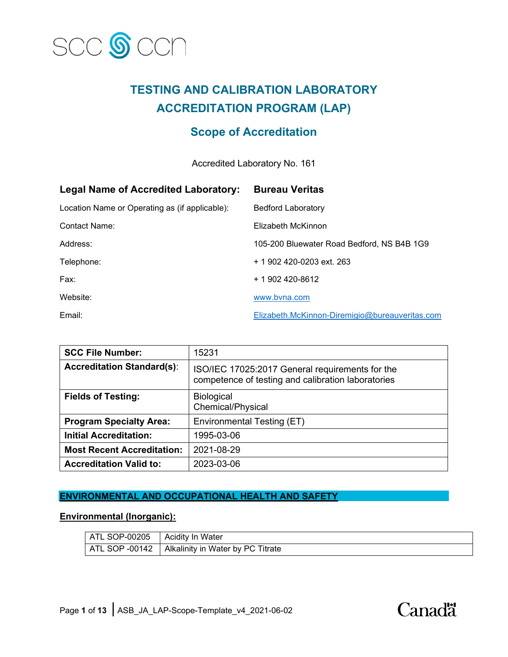

## **TESTING AND CALIBRATION LABORATORY ACCREDITATION PROGRAM (LAP)**

### **Scope of Accreditation**

Accredited Laboratory No. 161

| <b>Legal Name of Accredited Laboratory:</b>    | <b>Bureau Veritas</b>                          |
|------------------------------------------------|------------------------------------------------|
| Location Name or Operating as (if applicable): | <b>Bedford Laboratory</b>                      |
| <b>Contact Name:</b>                           | Elizabeth McKinnon                             |
| Address:                                       | 105-200 Bluewater Road Bedford, NS B4B 1G9     |
| Telephone:                                     | $+$ 1 902 420-0203 ext. 263                    |
| Fax:                                           | + 1 902 420-8612                               |
| Website:                                       | www.byna.com                                   |
| Email:                                         | Elizabeth.McKinnon-Diremigio@bureauveritas.com |

| <b>SCC File Number:</b>           | 15231                                                                                                 |
|-----------------------------------|-------------------------------------------------------------------------------------------------------|
| <b>Accreditation Standard(s):</b> | ISO/IEC 17025:2017 General requirements for the<br>competence of testing and calibration laboratories |
| <b>Fields of Testing:</b>         | <b>Biological</b><br>Chemical/Physical                                                                |
| <b>Program Specialty Area:</b>    | Environmental Testing (ET)                                                                            |
| <b>Initial Accreditation:</b>     | 1995-03-06                                                                                            |
| <b>Most Recent Accreditation:</b> | 2021-08-29                                                                                            |
| <b>Accreditation Valid to:</b>    | 2023-03-06                                                                                            |

### **ENVIRONMENTAL AND OCCUPATIONAL HEALTH AND SAFETY**

### **Environmental (Inorganic):**

| ATL SOP-00205  | <b>Acidity In Water</b>           |
|----------------|-----------------------------------|
| ATL SOP -00142 | Alkalinity in Water by PC Titrate |

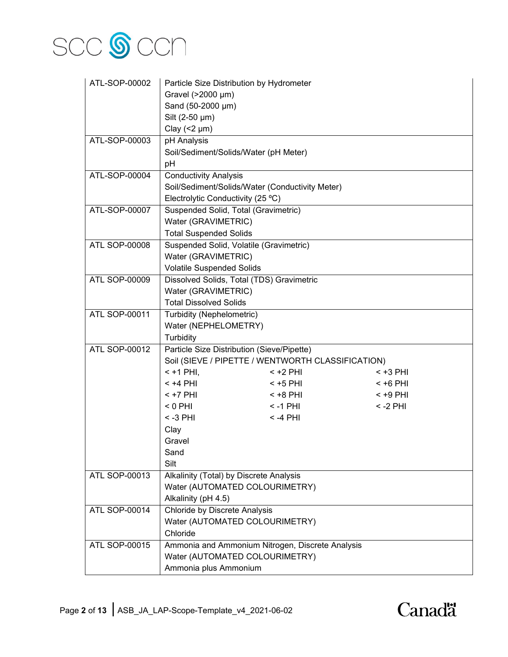

| ATL-SOP-00002        | Particle Size Distribution by Hydrometer        |                                                   |            |
|----------------------|-------------------------------------------------|---------------------------------------------------|------------|
|                      | Gravel (>2000 µm)                               |                                                   |            |
|                      | Sand (50-2000 µm)                               |                                                   |            |
|                      | Silt (2-50 µm)                                  |                                                   |            |
|                      | Clay $(< 2 \mu m)$                              |                                                   |            |
| ATL-SOP-00003        | pH Analysis                                     |                                                   |            |
|                      | Soil/Sediment/Solids/Water (pH Meter)           |                                                   |            |
|                      | pH                                              |                                                   |            |
| ATL-SOP-00004        | <b>Conductivity Analysis</b>                    |                                                   |            |
|                      | Soil/Sediment/Solids/Water (Conductivity Meter) |                                                   |            |
|                      | Electrolytic Conductivity (25 °C)               |                                                   |            |
| ATL-SOP-00007        | Suspended Solid, Total (Gravimetric)            |                                                   |            |
|                      | Water (GRAVIMETRIC)                             |                                                   |            |
|                      | <b>Total Suspended Solids</b>                   |                                                   |            |
| <b>ATL SOP-00008</b> | Suspended Solid, Volatile (Gravimetric)         |                                                   |            |
|                      | Water (GRAVIMETRIC)                             |                                                   |            |
|                      | <b>Volatile Suspended Solids</b>                |                                                   |            |
| ATL SOP-00009        | Dissolved Solids, Total (TDS) Gravimetric       |                                                   |            |
|                      | Water (GRAVIMETRIC)                             |                                                   |            |
|                      | <b>Total Dissolved Solids</b>                   |                                                   |            |
| ATL SOP-00011        | Turbidity (Nephelometric)                       |                                                   |            |
|                      | Water (NEPHELOMETRY)                            |                                                   |            |
|                      | Turbidity                                       |                                                   |            |
| <b>ATL SOP-00012</b> | Particle Size Distribution (Sieve/Pipette)      |                                                   |            |
|                      |                                                 | Soil (SIEVE / PIPETTE / WENTWORTH CLASSIFICATION) |            |
|                      | $<$ +1 PHI,                                     | $<$ +2 PHI                                        | < +3 PHI   |
|                      | $< +4$ PHI                                      | $<$ +5 PHI                                        | $< +6$ PHI |
|                      | $<$ +7 PHI                                      | $< +8$ PHI                                        | $< +9$ PHI |
|                      | $< 0$ PHI                                       | $< -1$ PHI                                        | $< -2$ PHI |
|                      | $< -3$ PHI                                      | $< -4$ PHI                                        |            |
|                      | Clay                                            |                                                   |            |
|                      | Gravel                                          |                                                   |            |
|                      | Sand                                            |                                                   |            |
|                      | Silt                                            |                                                   |            |
| <b>ATL SOP-00013</b> | Alkalinity (Total) by Discrete Analysis         |                                                   |            |
|                      | Water (AUTOMATED COLOURIMETRY)                  |                                                   |            |
|                      | Alkalinity (pH 4.5)                             |                                                   |            |
| <b>ATL SOP-00014</b> | Chloride by Discrete Analysis                   |                                                   |            |
|                      | Water (AUTOMATED COLOURIMETRY)                  |                                                   |            |
|                      | Chloride                                        |                                                   |            |
| ATL SOP-00015        |                                                 | Ammonia and Ammonium Nitrogen, Discrete Analysis  |            |
|                      | Water (AUTOMATED COLOURIMETRY)                  |                                                   |            |
|                      | Ammonia plus Ammonium                           |                                                   |            |

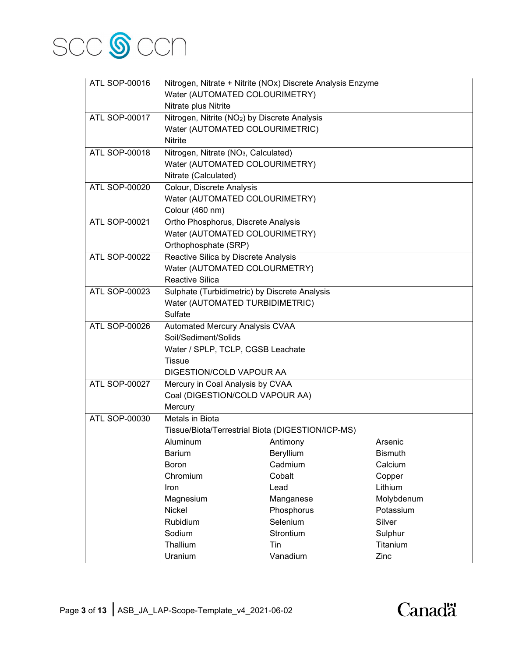

| ATL SOP-00016        |                                                           | Nitrogen, Nitrate + Nitrite (NOx) Discrete Analysis Enzyme |                |
|----------------------|-----------------------------------------------------------|------------------------------------------------------------|----------------|
|                      | Water (AUTOMATED COLOURIMETRY)                            |                                                            |                |
|                      | Nitrate plus Nitrite                                      |                                                            |                |
| <b>ATL SOP-00017</b> | Nitrogen, Nitrite (NO <sub>2</sub> ) by Discrete Analysis |                                                            |                |
|                      | Water (AUTOMATED COLOURIMETRIC)                           |                                                            |                |
|                      | <b>Nitrite</b>                                            |                                                            |                |
| <b>ATL SOP-00018</b> | Nitrogen, Nitrate (NO <sub>3</sub> , Calculated)          |                                                            |                |
|                      | Water (AUTOMATED COLOURIMETRY)                            |                                                            |                |
|                      | Nitrate (Calculated)                                      |                                                            |                |
| <b>ATL SOP-00020</b> | Colour, Discrete Analysis                                 |                                                            |                |
|                      | Water (AUTOMATED COLOURIMETRY)                            |                                                            |                |
|                      | Colour (460 nm)                                           |                                                            |                |
| <b>ATL SOP-00021</b> | Ortho Phosphorus, Discrete Analysis                       |                                                            |                |
|                      | Water (AUTOMATED COLOURIMETRY)                            |                                                            |                |
|                      | Orthophosphate (SRP)                                      |                                                            |                |
| <b>ATL SOP-00022</b> | Reactive Silica by Discrete Analysis                      |                                                            |                |
|                      | Water (AUTOMATED COLOURMETRY)                             |                                                            |                |
|                      | <b>Reactive Silica</b>                                    |                                                            |                |
| ATL SOP-00023        | Sulphate (Turbidimetric) by Discrete Analysis             |                                                            |                |
|                      | Water (AUTOMATED TURBIDIMETRIC)                           |                                                            |                |
|                      | Sulfate                                                   |                                                            |                |
| ATL SOP-00026        | Automated Mercury Analysis CVAA                           |                                                            |                |
|                      | Soil/Sediment/Solids                                      |                                                            |                |
|                      | Water / SPLP, TCLP, CGSB Leachate                         |                                                            |                |
|                      | <b>Tissue</b>                                             |                                                            |                |
|                      | DIGESTION/COLD VAPOUR AA                                  |                                                            |                |
| <b>ATL SOP-00027</b> | Mercury in Coal Analysis by CVAA                          |                                                            |                |
|                      | Coal (DIGESTION/COLD VAPOUR AA)                           |                                                            |                |
|                      | Mercury                                                   |                                                            |                |
| <b>ATL SOP-00030</b> | Metals in Biota                                           |                                                            |                |
|                      | Tissue/Biota/Terrestrial Biota (DIGESTION/ICP-MS)         |                                                            |                |
|                      | Aluminum                                                  | Antimony                                                   | Arsenic        |
|                      | <b>Barium</b>                                             | Beryllium                                                  | <b>Bismuth</b> |
|                      | <b>Boron</b>                                              | Cadmium                                                    | Calcium        |
|                      | Chromium                                                  | Cobalt                                                     | Copper         |
|                      | <b>Iron</b>                                               | Lead                                                       | Lithium        |
|                      | Magnesium                                                 | Manganese                                                  | Molybdenum     |
|                      | Nickel                                                    | Phosphorus                                                 | Potassium      |
|                      | Rubidium                                                  | Selenium                                                   | Silver         |
|                      | Sodium                                                    | Strontium                                                  | Sulphur        |
|                      | Thallium                                                  | Tin                                                        | Titanium       |
|                      | Uranium                                                   | Vanadium                                                   | Zinc           |

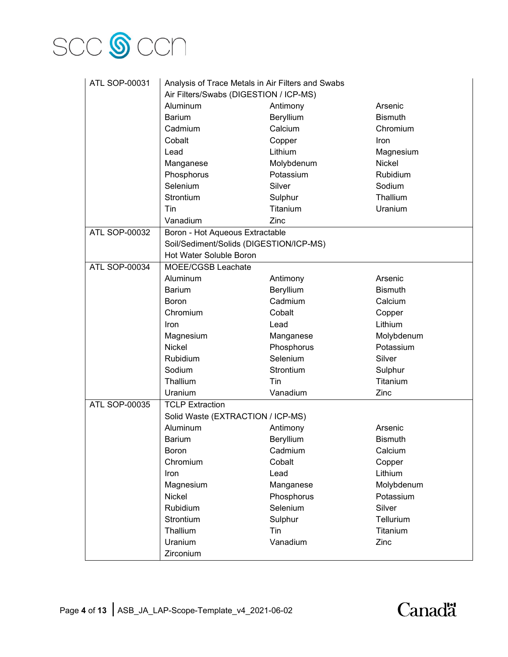

| <b>ATL SOP-00031</b> | Analysis of Trace Metals in Air Filters and Swabs |            |                |
|----------------------|---------------------------------------------------|------------|----------------|
|                      | Air Filters/Swabs (DIGESTION / ICP-MS)            |            |                |
|                      | Aluminum                                          | Antimony   | Arsenic        |
|                      | <b>Barium</b>                                     | Beryllium  | <b>Bismuth</b> |
|                      | Cadmium                                           | Calcium    | Chromium       |
|                      | Cobalt                                            | Copper     | Iron           |
|                      | Lead                                              | Lithium    | Magnesium      |
|                      | Manganese                                         | Molybdenum | Nickel         |
|                      | Phosphorus                                        | Potassium  | Rubidium       |
|                      | Selenium                                          | Silver     | Sodium         |
|                      | Strontium                                         | Sulphur    | Thallium       |
|                      | Tin                                               | Titanium   | Uranium        |
|                      | Vanadium                                          | Zinc       |                |
| ATL SOP-00032        | Boron - Hot Aqueous Extractable                   |            |                |
|                      | Soil/Sediment/Solids (DIGESTION/ICP-MS)           |            |                |
|                      | Hot Water Soluble Boron                           |            |                |
| <b>ATL SOP-00034</b> | MOEE/CGSB Leachate                                |            |                |
|                      | Aluminum                                          | Antimony   | Arsenic        |
|                      | <b>Barium</b>                                     | Beryllium  | <b>Bismuth</b> |
|                      | <b>Boron</b>                                      | Cadmium    | Calcium        |
|                      | Chromium                                          | Cobalt     | Copper         |
|                      | Iron                                              | Lead       | Lithium        |
|                      | Magnesium                                         | Manganese  | Molybdenum     |
|                      | Nickel                                            | Phosphorus | Potassium      |
|                      | Rubidium                                          | Selenium   | Silver         |
|                      | Sodium                                            | Strontium  | Sulphur        |
|                      | Thallium                                          | Tin        | Titanium       |
|                      | Uranium                                           | Vanadium   | Zinc           |
| ATL SOP-00035        | <b>TCLP Extraction</b>                            |            |                |
|                      | Solid Waste (EXTRACTION / ICP-MS)                 |            |                |
|                      | Aluminum                                          | Antimony   | Arsenic        |
|                      | <b>Barium</b>                                     | Beryllium  | <b>Bismuth</b> |
|                      | Boron                                             | Cadmium    | Calcium        |
|                      | Chromium                                          | Cobalt     | Copper         |
|                      | Iron                                              | Lead       | Lithium        |
|                      | Magnesium                                         | Manganese  | Molybdenum     |
|                      | Nickel                                            | Phosphorus | Potassium      |
|                      | Rubidium                                          | Selenium   | Silver         |
|                      | Strontium                                         | Sulphur    | Tellurium      |
|                      | Thallium                                          | Tin        | Titanium       |
|                      | Uranium                                           | Vanadium   | Zinc           |
|                      | Zirconium                                         |            |                |

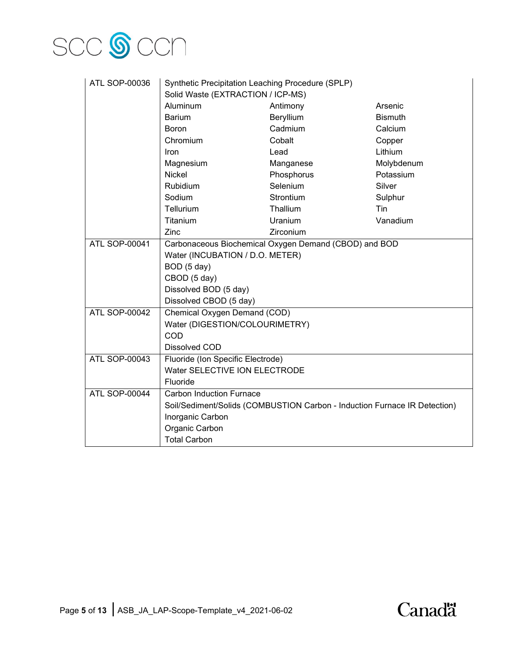

| ATL SOP-00036        | Synthetic Precipitation Leaching Procedure (SPLP)     |                                                                           |                |
|----------------------|-------------------------------------------------------|---------------------------------------------------------------------------|----------------|
|                      | Solid Waste (EXTRACTION / ICP-MS)                     |                                                                           |                |
|                      | Aluminum                                              | Antimony                                                                  | Arsenic        |
|                      | <b>Barium</b>                                         | Beryllium                                                                 | <b>Bismuth</b> |
|                      | Boron                                                 | Cadmium                                                                   | Calcium        |
|                      | Chromium                                              | Cobalt                                                                    | Copper         |
|                      | <b>Iron</b>                                           | Lead                                                                      | Lithium        |
|                      | Magnesium                                             | Manganese                                                                 | Molybdenum     |
|                      | <b>Nickel</b>                                         | Phosphorus                                                                | Potassium      |
|                      | Rubidium                                              | Selenium                                                                  | Silver         |
|                      | Sodium                                                | Strontium                                                                 | Sulphur        |
|                      | Tellurium                                             | Thallium                                                                  | Tin            |
|                      | Titanium                                              | Uranium                                                                   | Vanadium       |
|                      | Zinc                                                  | Zirconium                                                                 |                |
| ATL SOP-00041        | Carbonaceous Biochemical Oxygen Demand (CBOD) and BOD |                                                                           |                |
|                      | Water (INCUBATION / D.O. METER)                       |                                                                           |                |
|                      | BOD (5 day)                                           |                                                                           |                |
|                      | CBOD (5 day)                                          |                                                                           |                |
|                      | Dissolved BOD (5 day)                                 |                                                                           |                |
|                      | Dissolved CBOD (5 day)                                |                                                                           |                |
| <b>ATL SOP-00042</b> | Chemical Oxygen Demand (COD)                          |                                                                           |                |
|                      | Water (DIGESTION/COLOURIMETRY)                        |                                                                           |                |
|                      | COD                                                   |                                                                           |                |
|                      | Dissolved COD                                         |                                                                           |                |
| ATL SOP-00043        | Fluoride (Ion Specific Electrode)                     |                                                                           |                |
|                      | Water SELECTIVE ION ELECTRODE                         |                                                                           |                |
|                      | Fluoride                                              |                                                                           |                |
| <b>ATL SOP-00044</b> | <b>Carbon Induction Furnace</b>                       |                                                                           |                |
|                      |                                                       | Soil/Sediment/Solids (COMBUSTION Carbon - Induction Furnace IR Detection) |                |
|                      | Inorganic Carbon                                      |                                                                           |                |
|                      | Organic Carbon                                        |                                                                           |                |
|                      | <b>Total Carbon</b>                                   |                                                                           |                |

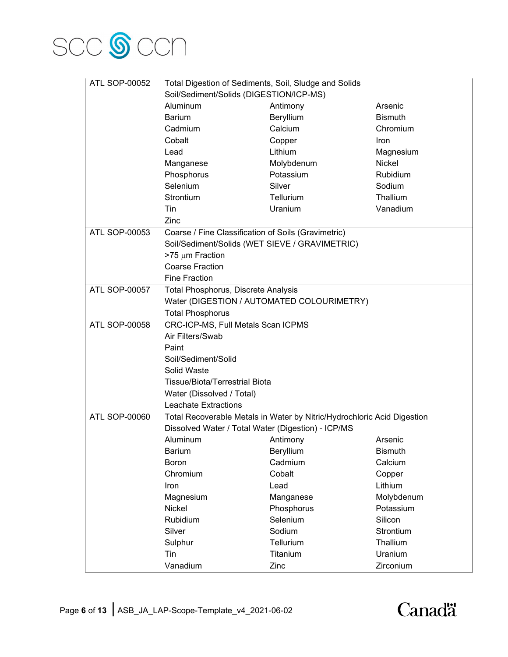

| <b>ATL SOP-00052</b> | Total Digestion of Sediments, Soil, Sludge and Solids |                                                                         |                |
|----------------------|-------------------------------------------------------|-------------------------------------------------------------------------|----------------|
|                      | Soil/Sediment/Solids (DIGESTION/ICP-MS)               |                                                                         |                |
|                      | Aluminum                                              | Antimony                                                                | Arsenic        |
|                      | <b>Barium</b>                                         | Beryllium                                                               | <b>Bismuth</b> |
|                      | Cadmium                                               | Calcium                                                                 | Chromium       |
|                      | Cobalt                                                | Copper                                                                  | <b>Iron</b>    |
|                      | Lead                                                  | Lithium                                                                 | Magnesium      |
|                      | Manganese                                             | Molybdenum                                                              | Nickel         |
|                      | Phosphorus                                            | Potassium                                                               | Rubidium       |
|                      | Selenium                                              | Silver                                                                  | Sodium         |
|                      | Strontium                                             | Tellurium                                                               | Thallium       |
|                      | Tin                                                   | Uranium                                                                 | Vanadium       |
|                      | Zinc                                                  |                                                                         |                |
| ATL SOP-00053        | Coarse / Fine Classification of Soils (Gravimetric)   |                                                                         |                |
|                      | Soil/Sediment/Solids (WET SIEVE / GRAVIMETRIC)        |                                                                         |                |
|                      | >75 μm Fraction                                       |                                                                         |                |
|                      | <b>Coarse Fraction</b>                                |                                                                         |                |
|                      | <b>Fine Fraction</b>                                  |                                                                         |                |
| <b>ATL SOP-00057</b> | Total Phosphorus, Discrete Analysis                   |                                                                         |                |
|                      |                                                       | Water (DIGESTION / AUTOMATED COLOURIMETRY)                              |                |
|                      | <b>Total Phosphorus</b>                               |                                                                         |                |
| <b>ATL SOP-00058</b> | CRC-ICP-MS, Full Metals Scan ICPMS                    |                                                                         |                |
|                      | Air Filters/Swab                                      |                                                                         |                |
|                      | Paint                                                 |                                                                         |                |
|                      | Soil/Sediment/Solid                                   |                                                                         |                |
|                      | Solid Waste                                           |                                                                         |                |
|                      | <b>Tissue/Biota/Terrestrial Biota</b>                 |                                                                         |                |
|                      | Water (Dissolved / Total)                             |                                                                         |                |
|                      | <b>Leachate Extractions</b>                           |                                                                         |                |
| <b>ATL SOP-00060</b> |                                                       | Total Recoverable Metals in Water by Nitric/Hydrochloric Acid Digestion |                |
|                      | Dissolved Water / Total Water (Digestion) - ICP/MS    |                                                                         |                |
|                      | Aluminum                                              | Antimony                                                                | Arsenic        |
|                      | <b>Barium</b>                                         | Beryllium                                                               | <b>Bismuth</b> |
|                      | <b>Boron</b>                                          | Cadmium                                                                 | Calcium        |
|                      | Chromium                                              | Cobalt                                                                  | Copper         |
|                      | Iron                                                  | Lead                                                                    | Lithium        |
|                      | Magnesium                                             | Manganese                                                               | Molybdenum     |
|                      | <b>Nickel</b>                                         | Phosphorus                                                              | Potassium      |
|                      | Rubidium                                              | Selenium                                                                | Silicon        |
|                      | Silver                                                | Sodium                                                                  | Strontium      |
|                      | Sulphur                                               | Tellurium                                                               | Thallium       |
|                      | Tin                                                   | Titanium                                                                | Uranium        |
|                      | Vanadium                                              | Zinc                                                                    | Zirconium      |

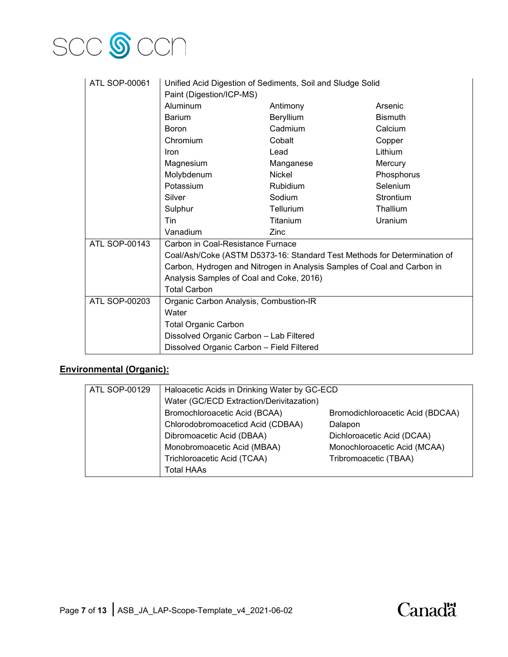

| ATL SOP-00061        | Unified Acid Digestion of Sediments, Soil and Sludge Solid               |                 |                |
|----------------------|--------------------------------------------------------------------------|-----------------|----------------|
|                      | Paint (Digestion/ICP-MS)                                                 |                 |                |
|                      | <b>Aluminum</b>                                                          | Antimony        | Arsenic        |
|                      | <b>Barium</b>                                                            | Beryllium       | <b>Bismuth</b> |
|                      | <b>Boron</b>                                                             | Cadmium         | Calcium        |
|                      | Chromium                                                                 | Cobalt          | Copper         |
|                      | Iron                                                                     | Lead            | Lithium        |
|                      | Magnesium                                                                | Manganese       | Mercury        |
|                      | Molybdenum                                                               | <b>Nickel</b>   | Phosphorus     |
|                      | Potassium                                                                | <b>Rubidium</b> | Selenium       |
|                      | Silver                                                                   | Sodium          | Strontium      |
|                      | Sulphur                                                                  | Tellurium       | Thallium       |
|                      | Tin                                                                      | Titanium        | Uranium        |
|                      | Vanadium                                                                 | Zinc            |                |
| <b>ATL SOP-00143</b> | Carbon in Coal-Resistance Furnace                                        |                 |                |
|                      | Coal/Ash/Coke (ASTM D5373-16: Standard Test Methods for Determination of |                 |                |
|                      | Carbon, Hydrogen and Nitrogen in Analysis Samples of Coal and Carbon in  |                 |                |
|                      | Analysis Samples of Coal and Coke, 2016)                                 |                 |                |
|                      | <b>Total Carbon</b>                                                      |                 |                |
| ATL SOP-00203        | Organic Carbon Analysis, Combustion-IR                                   |                 |                |
|                      | Water                                                                    |                 |                |
|                      | <b>Total Organic Carbon</b>                                              |                 |                |
|                      | Dissolved Organic Carbon - Lab Filtered                                  |                 |                |
|                      | Dissolved Organic Carbon - Field Filtered                                |                 |                |

### **Environmental (Organic):**

| ATL SOP-00129<br>Haloacetic Acids in Drinking Water by GC-ECD     |  |
|-------------------------------------------------------------------|--|
|                                                                   |  |
| Water (GC/ECD Extraction/Derivitazation)                          |  |
| Bromochloroacetic Acid (BCAA)<br>Bromodichloroacetic Acid (BDCAA) |  |
| Chlorodobromoaceticd Acid (CDBAA)<br>Dalapon                      |  |
| Dibromoacetic Acid (DBAA)<br>Dichloroacetic Acid (DCAA)           |  |
| Monobromoacetic Acid (MBAA)<br>Monochloroacetic Acid (MCAA)       |  |
| Trichloroacetic Acid (TCAA)<br>Tribromoacetic (TBAA)              |  |
| <b>Total HAAs</b>                                                 |  |

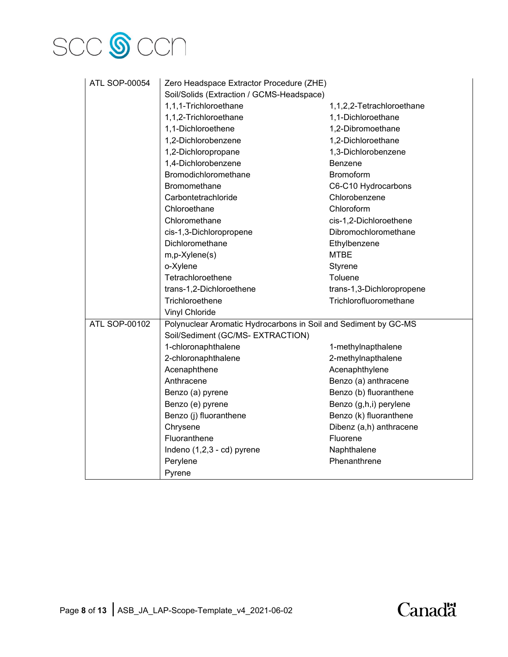# SCC **S** CCN

| <b>ATL SOP-00054</b> | Zero Headspace Extractor Procedure (ZHE)                        |                           |
|----------------------|-----------------------------------------------------------------|---------------------------|
|                      | Soil/Solids (Extraction / GCMS-Headspace)                       |                           |
|                      | 1,1,1-Trichloroethane                                           | 1,1,2,2-Tetrachloroethane |
|                      | 1,1,2-Trichloroethane                                           | 1,1-Dichloroethane        |
|                      | 1,1-Dichloroethene                                              | 1,2-Dibromoethane         |
|                      | 1,2-Dichlorobenzene                                             | 1,2-Dichloroethane        |
|                      | 1,2-Dichloropropane                                             | 1,3-Dichlorobenzene       |
|                      | 1,4-Dichlorobenzene                                             | Benzene                   |
|                      | Bromodichloromethane                                            | Bromoform                 |
|                      | Bromomethane                                                    | C6-C10 Hydrocarbons       |
|                      | Carbontetrachloride                                             | Chlorobenzene             |
|                      | Chloroethane                                                    | Chloroform                |
|                      | Chloromethane                                                   | cis-1,2-Dichloroethene    |
|                      | cis-1,3-Dichloropropene                                         | Dibromochloromethane      |
|                      | Dichloromethane                                                 | Ethylbenzene              |
|                      | m,p-Xylene(s)                                                   | <b>MTBE</b>               |
|                      | o-Xylene                                                        | Styrene                   |
|                      | Tetrachloroethene                                               | Toluene                   |
|                      | trans-1,2-Dichloroethene                                        | trans-1,3-Dichloropropene |
|                      | Trichloroethene                                                 | Trichlorofluoromethane    |
|                      | <b>Vinyl Chloride</b>                                           |                           |
| <b>ATL SOP-00102</b> | Polynuclear Aromatic Hydrocarbons in Soil and Sediment by GC-MS |                           |
|                      | Soil/Sediment (GC/MS- EXTRACTION)                               |                           |
|                      | 1-chloronaphthalene                                             | 1-methylnapthalene        |
|                      | 2-chloronaphthalene                                             | 2-methylnapthalene        |
|                      | Acenaphthene                                                    | Acenaphthylene            |
|                      | Anthracene                                                      | Benzo (a) anthracene      |
|                      | Benzo (a) pyrene                                                | Benzo (b) fluoranthene    |
|                      | Benzo (e) pyrene                                                | Benzo (g,h,i) perylene    |
|                      | Benzo (j) fluoranthene                                          | Benzo (k) fluoranthene    |
|                      | Chrysene                                                        | Dibenz (a,h) anthracene   |
|                      | Fluoranthene                                                    | Fluorene                  |
|                      | Indeno (1,2,3 - cd) pyrene                                      | Naphthalene               |
|                      | Perylene                                                        | Phenanthrene              |
|                      | Pyrene                                                          |                           |

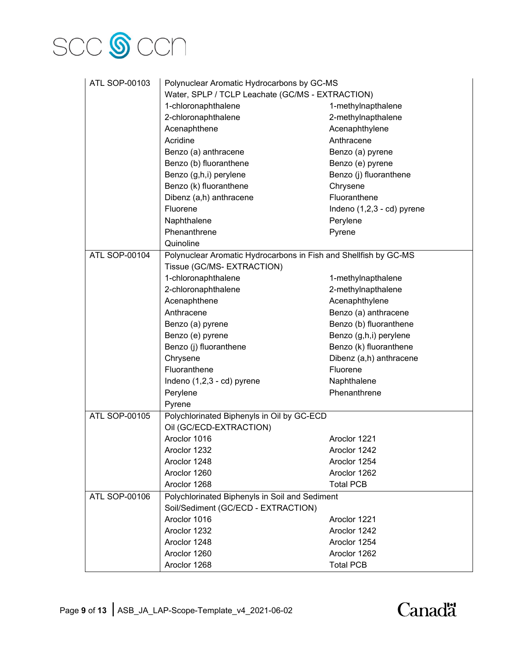

| ATL SOP-00103        | Polynuclear Aromatic Hydrocarbons by GC-MS                       |                            |  |
|----------------------|------------------------------------------------------------------|----------------------------|--|
|                      | Water, SPLP / TCLP Leachate (GC/MS - EXTRACTION)                 |                            |  |
|                      | 1-chloronaphthalene                                              | 1-methylnapthalene         |  |
|                      | 2-chloronaphthalene                                              | 2-methylnapthalene         |  |
|                      | Acenaphthene                                                     | Acenaphthylene             |  |
|                      | Acridine                                                         | Anthracene                 |  |
|                      | Benzo (a) anthracene                                             | Benzo (a) pyrene           |  |
|                      | Benzo (b) fluoranthene                                           | Benzo (e) pyrene           |  |
|                      | Benzo (g,h,i) perylene                                           | Benzo (j) fluoranthene     |  |
|                      | Benzo (k) fluoranthene                                           | Chrysene                   |  |
|                      | Dibenz (a,h) anthracene                                          | Fluoranthene               |  |
|                      | Fluorene                                                         | Indeno (1,2,3 - cd) pyrene |  |
|                      | Naphthalene                                                      | Perylene                   |  |
|                      | Phenanthrene                                                     | Pyrene                     |  |
|                      | Quinoline                                                        |                            |  |
| ATL SOP-00104        | Polynuclear Aromatic Hydrocarbons in Fish and Shellfish by GC-MS |                            |  |
|                      | Tissue (GC/MS- EXTRACTION)                                       |                            |  |
|                      | 1-chloronaphthalene                                              | 1-methylnapthalene         |  |
|                      | 2-chloronaphthalene                                              | 2-methylnapthalene         |  |
|                      | Acenaphthene                                                     | Acenaphthylene             |  |
|                      | Anthracene                                                       | Benzo (a) anthracene       |  |
|                      | Benzo (a) pyrene                                                 | Benzo (b) fluoranthene     |  |
|                      | Benzo (e) pyrene                                                 | Benzo (g,h,i) perylene     |  |
|                      | Benzo (j) fluoranthene                                           | Benzo (k) fluoranthene     |  |
|                      | Chrysene                                                         | Dibenz (a,h) anthracene    |  |
|                      | Fluoranthene                                                     | Fluorene                   |  |
|                      | Indeno (1,2,3 - cd) pyrene                                       | Naphthalene                |  |
|                      | Perylene                                                         | Phenanthrene               |  |
|                      | Pyrene                                                           |                            |  |
| ATL SOP-00105        | Polychlorinated Biphenyls in Oil by GC-ECD                       |                            |  |
|                      | Oil (GC/ECD-EXTRACTION)                                          |                            |  |
|                      | Aroclor 1016                                                     | Aroclor 1221               |  |
|                      | Aroclor 1232                                                     | Aroclor 1242               |  |
|                      | Aroclor 1248                                                     | Aroclor 1254               |  |
|                      | Aroclor 1260                                                     | Aroclor 1262               |  |
|                      | Aroclor 1268                                                     | <b>Total PCB</b>           |  |
| <b>ATL SOP-00106</b> | Polychlorinated Biphenyls in Soil and Sediment                   |                            |  |
|                      | Soil/Sediment (GC/ECD - EXTRACTION)                              |                            |  |
|                      | Aroclor 1016                                                     | Aroclor 1221               |  |
|                      | Aroclor 1232                                                     | Aroclor 1242               |  |
|                      | Aroclor 1248                                                     | Aroclor 1254               |  |
|                      | Aroclor 1260                                                     | Aroclor 1262               |  |
|                      | Aroclor 1268                                                     | <b>Total PCB</b>           |  |

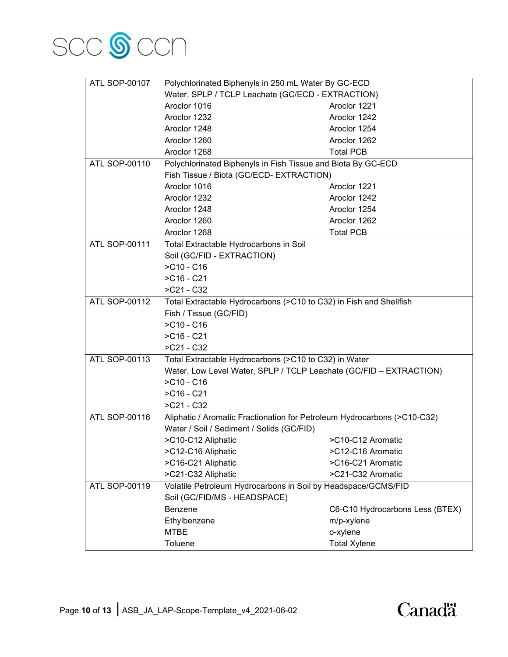

| <b>ATL SOP-00107</b> | Polychlorinated Biphenyls in 250 mL Water By GC-ECD                      |                                 |  |
|----------------------|--------------------------------------------------------------------------|---------------------------------|--|
|                      | Water, SPLP / TCLP Leachate (GC/ECD - EXTRACTION)                        |                                 |  |
|                      | Aroclor 1016                                                             | Aroclor 1221                    |  |
|                      | Aroclor 1232                                                             | Aroclor 1242                    |  |
|                      | Aroclor 1248                                                             | Aroclor 1254                    |  |
|                      | Aroclor 1260                                                             | Aroclor 1262                    |  |
|                      | Aroclor 1268                                                             | <b>Total PCB</b>                |  |
| <b>ATL SOP-00110</b> | Polychlorinated Biphenyls in Fish Tissue and Biota By GC-ECD             |                                 |  |
|                      | Fish Tissue / Biota (GC/ECD- EXTRACTION)                                 |                                 |  |
|                      | Aroclor 1016                                                             | Aroclor 1221                    |  |
|                      | Aroclor 1232                                                             | Aroclor 1242                    |  |
|                      | Aroclor 1248                                                             | Aroclor 1254                    |  |
|                      | Aroclor 1260                                                             | Aroclor 1262                    |  |
|                      | Aroclor 1268                                                             | <b>Total PCB</b>                |  |
| <b>ATL SOP-00111</b> | Total Extractable Hydrocarbons in Soil                                   |                                 |  |
|                      | Soil (GC/FID - EXTRACTION)                                               |                                 |  |
|                      | $ > C10 - C16$                                                           |                                 |  |
|                      | $>$ C16 - C21                                                            |                                 |  |
|                      | $>C21 - C32$                                                             |                                 |  |
| <b>ATL SOP-00112</b> | Total Extractable Hydrocarbons (>C10 to C32) in Fish and Shellfish       |                                 |  |
|                      | Fish / Tissue (GC/FID)                                                   |                                 |  |
|                      | $>$ C10 - C16                                                            |                                 |  |
|                      | $>$ C16 - C21                                                            |                                 |  |
|                      | $ > C21 - C32$                                                           |                                 |  |
| ATL SOP-00113        | Total Extractable Hydrocarbons (>C10 to C32) in Water                    |                                 |  |
|                      | Water, Low Level Water, SPLP / TCLP Leachate (GC/FID - EXTRACTION)       |                                 |  |
|                      | $ > C10 - C16$                                                           |                                 |  |
|                      | $>$ C16 - C21                                                            |                                 |  |
|                      | $ > C21 - C32$                                                           |                                 |  |
| ATL SOP-00116        | Aliphatic / Aromatic Fractionation for Petroleum Hydrocarbons (>C10-C32) |                                 |  |
|                      | Water / Soil / Sediment / Solids (GC/FID)                                |                                 |  |
|                      | >C10-C12 Aliphatic                                                       | >C10-C12 Aromatic               |  |
|                      | >C12-C16 Aliphatic                                                       | >C12-C16 Aromatic               |  |
|                      | >C16-C21 Aliphatic                                                       | >C16-C21 Aromatic               |  |
|                      | >C21-C32 Aliphatic                                                       | >C21-C32 Aromatic               |  |
| ATL SOP-00119        | Volatile Petroleum Hydrocarbons in Soil by Headspace/GCMS/FID            |                                 |  |
|                      | Soil (GC/FID/MS - HEADSPACE)                                             |                                 |  |
|                      | <b>Benzene</b>                                                           | C6-C10 Hydrocarbons Less (BTEX) |  |
|                      | Ethylbenzene                                                             | m/p-xylene                      |  |
|                      | <b>MTBE</b>                                                              | o-xylene                        |  |
|                      | Toluene                                                                  | <b>Total Xylene</b>             |  |

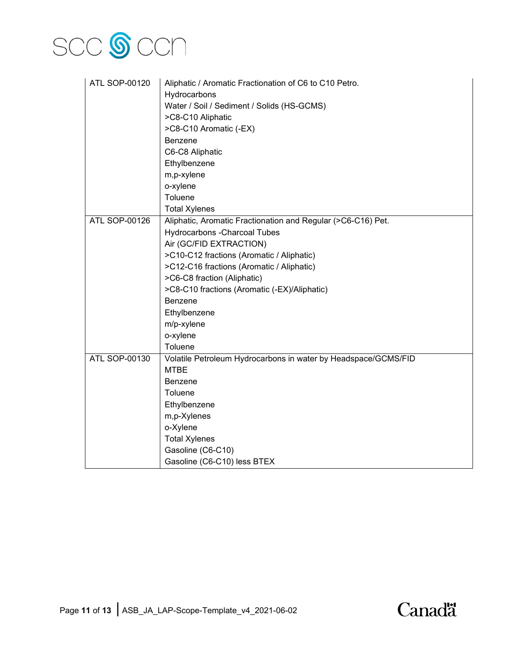

| ATL SOP-00120 | Aliphatic / Aromatic Fractionation of C6 to C10 Petro.         |  |
|---------------|----------------------------------------------------------------|--|
|               | Hydrocarbons                                                   |  |
|               | Water / Soil / Sediment / Solids (HS-GCMS)                     |  |
|               | >C8-C10 Aliphatic                                              |  |
|               | >C8-C10 Aromatic (-EX)                                         |  |
|               | <b>Benzene</b>                                                 |  |
|               | C6-C8 Aliphatic                                                |  |
|               | Ethylbenzene                                                   |  |
|               | m,p-xylene                                                     |  |
|               | o-xylene                                                       |  |
|               | Toluene                                                        |  |
|               | <b>Total Xylenes</b>                                           |  |
| ATL SOP-00126 | Aliphatic, Aromatic Fractionation and Regular (>C6-C16) Pet.   |  |
|               | <b>Hydrocarbons - Charcoal Tubes</b>                           |  |
|               | Air (GC/FID EXTRACTION)                                        |  |
|               | >C10-C12 fractions (Aromatic / Aliphatic)                      |  |
|               | >C12-C16 fractions (Aromatic / Aliphatic)                      |  |
|               | >C6-C8 fraction (Aliphatic)                                    |  |
|               | >C8-C10 fractions (Aromatic (-EX)/Aliphatic)                   |  |
|               | Benzene                                                        |  |
|               | Ethylbenzene                                                   |  |
|               | m/p-xylene                                                     |  |
|               | o-xylene                                                       |  |
|               | Toluene                                                        |  |
| ATL SOP-00130 | Volatile Petroleum Hydrocarbons in water by Headspace/GCMS/FID |  |
|               | <b>MTBE</b>                                                    |  |
|               | <b>Benzene</b>                                                 |  |
|               | Toluene                                                        |  |
|               | Ethylbenzene                                                   |  |
|               | m,p-Xylenes                                                    |  |
|               | o-Xylene                                                       |  |
|               | <b>Total Xylenes</b>                                           |  |
|               | Gasoline (C6-C10)                                              |  |
|               | Gasoline (C6-C10) less BTEX                                    |  |

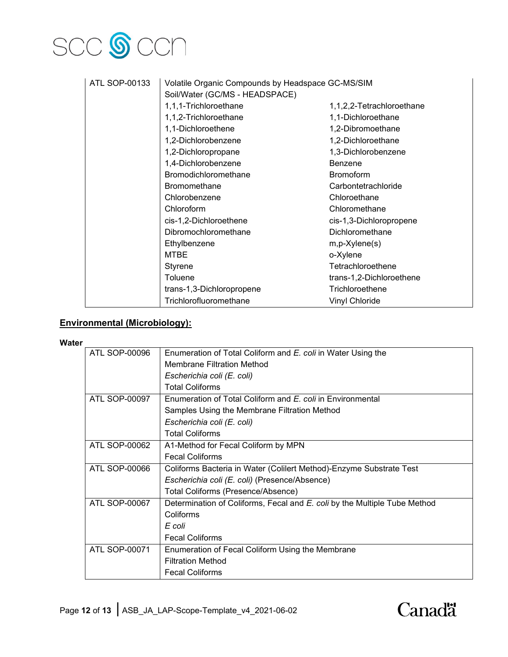# SCC **S** CCN

| <b>ATL SOP-00133</b> | Volatile Organic Compounds by Headspace GC-MS/SIM |                           |
|----------------------|---------------------------------------------------|---------------------------|
|                      | Soil/Water (GC/MS - HEADSPACE)                    |                           |
|                      | 1,1,1-Trichloroethane                             | 1,1,2,2-Tetrachloroethane |
|                      | 1,1,2-Trichloroethane                             | 1,1-Dichloroethane        |
|                      | 1,1-Dichloroethene                                | 1,2-Dibromoethane         |
|                      | 1,2-Dichlorobenzene                               | 1,2-Dichloroethane        |
|                      | 1,2-Dichloropropane                               | 1,3-Dichlorobenzene       |
|                      | 1,4-Dichlorobenzene                               | Benzene                   |
|                      | <b>Bromodichloromethane</b>                       | <b>Bromoform</b>          |
|                      | <b>Bromomethane</b>                               | Carbontetrachloride       |
|                      | Chlorobenzene                                     | Chloroethane              |
|                      | Chloroform                                        | Chloromethane             |
|                      | cis-1,2-Dichloroethene                            | cis-1,3-Dichloropropene   |
|                      | Dibromochloromethane                              | Dichloromethane           |
|                      | Ethylbenzene                                      | $m, p$ -Xylene $(s)$      |
|                      | <b>MTBE</b>                                       | o-Xylene                  |
|                      | Styrene                                           | Tetrachloroethene         |
|                      | Toluene                                           | trans-1,2-Dichloroethene  |
|                      | trans-1,3-Dichloropropene                         | Trichloroethene           |
|                      | Trichlorofluoromethane                            | <b>Vinyl Chloride</b>     |

### **Environmental (Microbiology):**

#### **Water**

| <b>ATL SOP-00096</b> | Enumeration of Total Coliform and E. coli in Water Using the              |
|----------------------|---------------------------------------------------------------------------|
|                      |                                                                           |
|                      | <b>Membrane Filtration Method</b>                                         |
|                      | Escherichia coli (E. coli)                                                |
|                      | <b>Total Coliforms</b>                                                    |
| ATL SOP-00097        | Enumeration of Total Coliform and E. coli in Environmental                |
|                      | Samples Using the Membrane Filtration Method                              |
|                      | Escherichia coli (E. coli)                                                |
|                      | <b>Total Coliforms</b>                                                    |
| <b>ATL SOP-00062</b> | A1-Method for Fecal Coliform by MPN                                       |
|                      | <b>Fecal Coliforms</b>                                                    |
| ATL SOP-00066        | Coliforms Bacteria in Water (Colilert Method)-Enzyme Substrate Test       |
|                      | Escherichia coli (E. coli) (Presence/Absence)                             |
|                      | Total Coliforms (Presence/Absence)                                        |
| <b>ATL SOP-00067</b> | Determination of Coliforms, Fecal and E. coli by the Multiple Tube Method |
|                      | Coliforms                                                                 |
|                      | E coli                                                                    |
|                      | <b>Fecal Coliforms</b>                                                    |
| <b>ATL SOP-00071</b> | Enumeration of Fecal Coliform Using the Membrane                          |
|                      | <b>Filtration Method</b>                                                  |
|                      | <b>Fecal Coliforms</b>                                                    |
|                      |                                                                           |